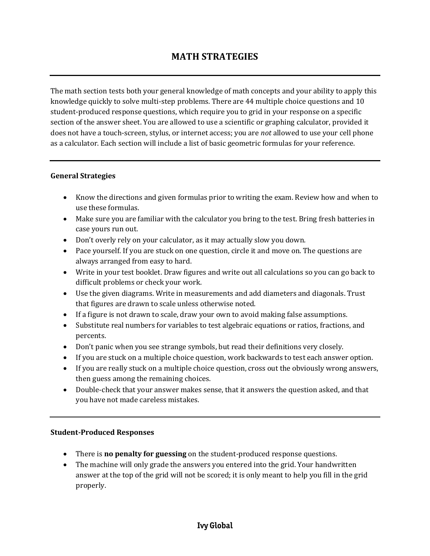The math section tests both your general knowledge of math concepts and your ability to apply this knowledge quickly to solve multi-step problems. There are 44 multiple choice questions and 10 student-produced response questions, which require you to grid in your response on a specific section of the answer sheet. You are allowed to use a scientific or graphing calculator, provided it does not have a touch-screen, stylus, or internet access; you are *not* allowed to use your cell phone as a calculator. Each section will include a list of basic geometric formulas for your reference.

## **General Strategies**

- Know the directions and given formulas prior to writing the exam. Review how and when to use these formulas.
- Make sure you are familiar with the calculator you bring to the test. Bring fresh batteries in case yours run out.
- Don't overly rely on your calculator, as it may actually slow you down.
- Pace yourself. If you are stuck on one question, circle it and move on. The questions are always arranged from easy to hard.
- Write in your test booklet. Draw figures and write out all calculations so you can go back to difficult problems or check your work.
- Use the given diagrams. Write in measurements and add diameters and diagonals. Trust that figures are drawn to scale unless otherwise noted.
- If a figure is not drawn to scale, draw your own to avoid making false assumptions.
- Substitute real numbers for variables to test algebraic equations or ratios, fractions, and percents.
- Don't panic when you see strange symbols, but read their definitions very closely.
- If you are stuck on a multiple choice question, work backwards to test each answer option.
- If you are really stuck on a multiple choice question, cross out the obviously wrong answers, then guess among the remaining choices.
- Double-check that your answer makes sense, that it answers the question asked, and that you have not made careless mistakes.

## **Student-Produced Responses**

- There is **no penalty for guessing** on the student-produced response questions.
- The machine will only grade the answers you entered into the grid. Your handwritten answer at the top of the grid will not be scored; it is only meant to help you fill in the grid properly.